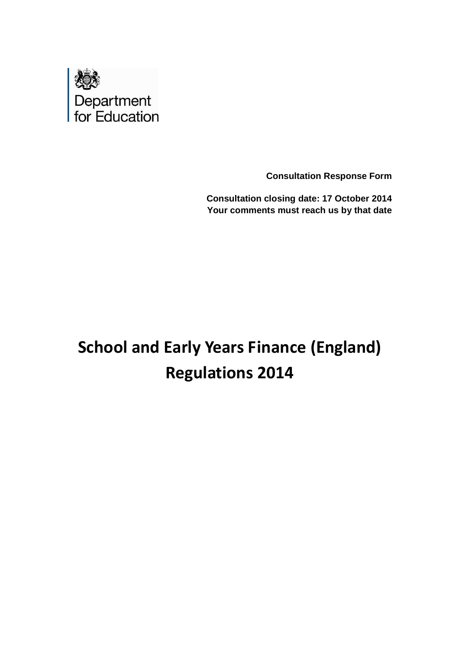

**Consultation Response Form**

**Consultation closing date: 17 October 2014 Your comments must reach us by that date**

# **School and Early Years Finance (England) Regulations 2014**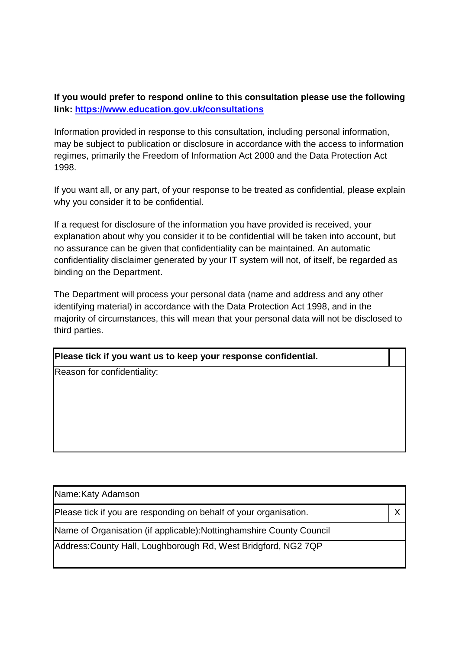## **If you would prefer to respond online to this consultation please use the following link: https://www.education.gov.uk/consultations**

Information provided in response to this consultation, including personal information, may be subject to publication or disclosure in accordance with the access to information regimes, primarily the Freedom of Information Act 2000 and the Data Protection Act 1998.

If you want all, or any part, of your response to be treated as confidential, please explain why you consider it to be confidential.

If a request for disclosure of the information you have provided is received, your explanation about why you consider it to be confidential will be taken into account, but no assurance can be given that confidentiality can be maintained. An automatic confidentiality disclaimer generated by your IT system will not, of itself, be regarded as binding on the Department.

The Department will process your personal data (name and address and any other identifying material) in accordance with the Data Protection Act 1998, and in the majority of circumstances, this will mean that your personal data will not be disclosed to third parties.

#### **Please tick if you want us to keep your response confidential.**

Reason for confidentiality:

| Name: Katy Adamson                                                    |  |
|-----------------------------------------------------------------------|--|
| Please tick if you are responding on behalf of your organisation.     |  |
| Name of Organisation (if applicable): Notting hamshire County Council |  |
| Address: County Hall, Loughborough Rd, West Bridgford, NG2 7QP        |  |
|                                                                       |  |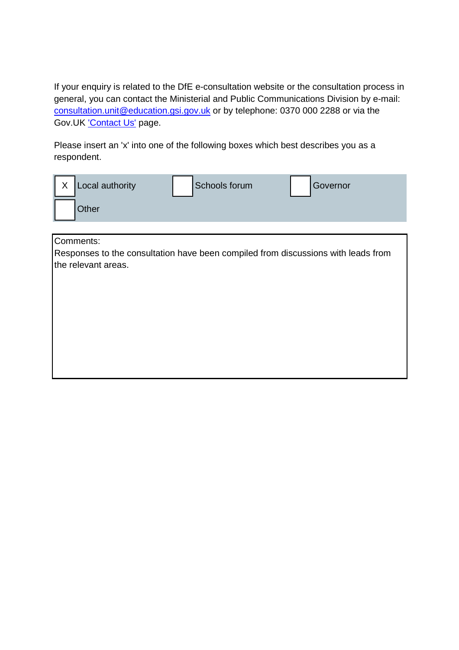If your enquiry is related to the DfE e-consultation website or the consultation process in general, you can contact the Ministerial and Public Communications Division by e-mail: consultation.unit@education.gsi.gov.uk or by telephone: 0370 000 2288 or via the Gov.UK 'Contact Us' page.

Please insert an 'x' into one of the following boxes which best describes you as a respondent.

| $\mathsf{X}$ | Local authority | Schools forum | Governor |
|--------------|-----------------|---------------|----------|
|              | Other           |               |          |

Comments:

Responses to the consultation have been compiled from discussions with leads from the relevant areas.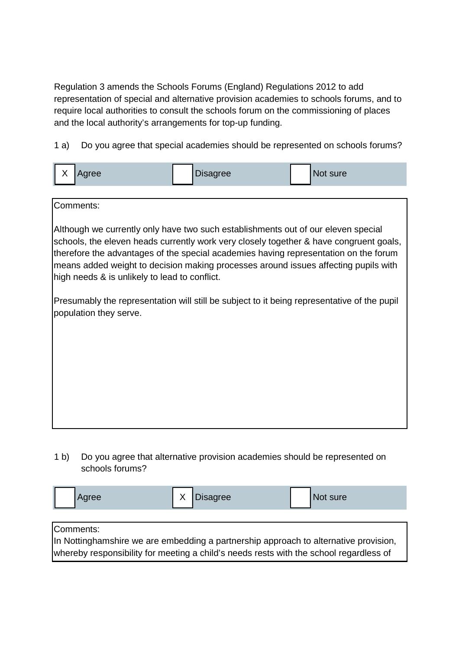Regulation 3 amends the Schools Forums (England) Regulations 2012 to add representation of special and alternative provision academies to schools forums, and to require local authorities to consult the schools forum on the commissioning of places and the local authority's arrangements for top-up funding.

1 a) Do you agree that special academies should be represented on schools forums?

|  |  | $\mathbf{v}$ | <b>gree</b> | <b>Disagree</b> |  | Not sure |
|--|--|--------------|-------------|-----------------|--|----------|
|--|--|--------------|-------------|-----------------|--|----------|

| Comments:                                                                                                                                                                                                                                                                                                                                                                                                   |
|-------------------------------------------------------------------------------------------------------------------------------------------------------------------------------------------------------------------------------------------------------------------------------------------------------------------------------------------------------------------------------------------------------------|
| Although we currently only have two such establishments out of our eleven special<br>schools, the eleven heads currently work very closely together & have congruent goals,<br>therefore the advantages of the special academies having representation on the forum<br>means added weight to decision making processes around issues affecting pupils with<br>high needs & is unlikely to lead to conflict. |
| Presumably the representation will still be subject to it being representative of the pupil<br>population they serve.                                                                                                                                                                                                                                                                                       |
|                                                                                                                                                                                                                                                                                                                                                                                                             |
|                                                                                                                                                                                                                                                                                                                                                                                                             |
|                                                                                                                                                                                                                                                                                                                                                                                                             |
|                                                                                                                                                                                                                                                                                                                                                                                                             |
|                                                                                                                                                                                                                                                                                                                                                                                                             |

1 b) Do you agree that alternative provision academies should be represented on schools forums?

| Agree                                                                                  | Disagree | Not sure |  |  |  |
|----------------------------------------------------------------------------------------|----------|----------|--|--|--|
|                                                                                        |          |          |  |  |  |
| Comments:                                                                              |          |          |  |  |  |
| In Nottinghamshire we are embedding a partnership approach to alternative provision,   |          |          |  |  |  |
| whereby responsibility for meeting a child's needs rests with the school regardless of |          |          |  |  |  |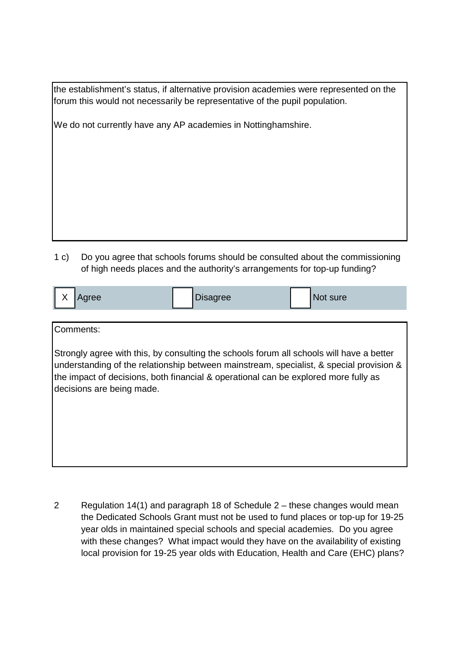the establishment's status, if alternative provision academies were represented on the forum this would not necessarily be representative of the pupil population.

We do not currently have any AP academies in Nottinghamshire.

1 c) Do you agree that schools forums should be consulted about the commissioning of high needs places and the authority's arrangements for top-up funding?

| $\lambda$<br>vgree<br>$\lambda$ | Disagree | vot sure |
|---------------------------------|----------|----------|
|                                 |          |          |

Comments:

Strongly agree with this, by consulting the schools forum all schools will have a better understanding of the relationship between mainstream, specialist, & special provision & the impact of decisions, both financial & operational can be explored more fully as decisions are being made.

2 Regulation 14(1) and paragraph 18 of Schedule 2 – these changes would mean the Dedicated Schools Grant must not be used to fund places or top-up for 19-25 year olds in maintained special schools and special academies. Do you agree with these changes? What impact would they have on the availability of existing local provision for 19-25 year olds with Education, Health and Care (EHC) plans?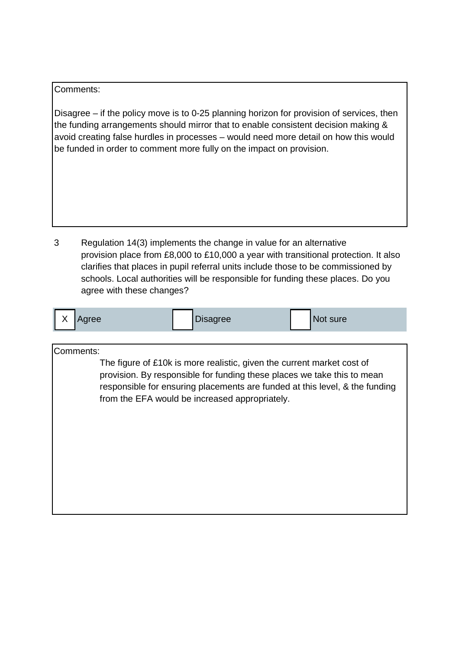#### Comments:

Disagree – if the policy move is to 0-25 planning horizon for provision of services, then the funding arrangements should mirror that to enable consistent decision making & avoid creating false hurdles in processes – would need more detail on how this would be funded in order to comment more fully on the impact on provision.

3 Regulation 14(3) implements the change in value for an alternative provision place from £8,000 to £10,000 a year with transitional protection. It also clarifies that places in pupil referral units include those to be commissioned by schools. Local authorities will be responsible for funding these places. Do you agree with these changes?

| Disagree<br>$\mathbf{v}$<br>Not sure<br>qree |
|----------------------------------------------|
|----------------------------------------------|

Comments:

The figure of £10k is more realistic, given the current market cost of provision. By responsible for funding these places we take this to mean responsible for ensuring placements are funded at this level, & the funding from the EFA would be increased appropriately.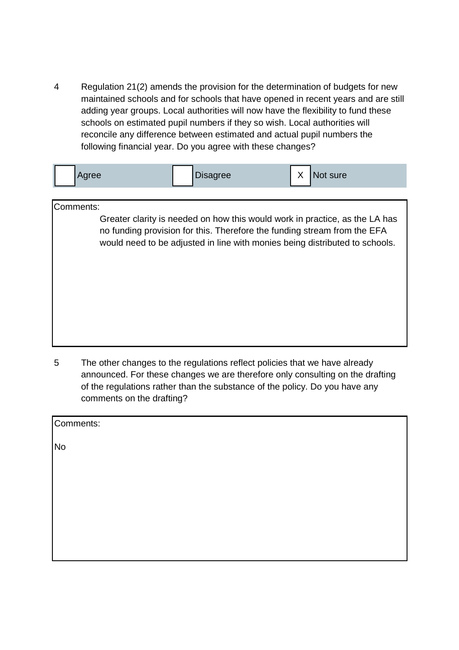4 Regulation 21(2) amends the provision for the determination of budgets for new maintained schools and for schools that have opened in recent years and are still adding year groups. Local authorities will now have the flexibility to fund these schools on estimated pupil numbers if they so wish. Local authorities will reconcile any difference between estimated and actual pupil numbers the following financial year. Do you agree with these changes?

| Agree     |  | <b>Disagree</b>                                                          | X | Not sure                                                                                                                                                   |
|-----------|--|--------------------------------------------------------------------------|---|------------------------------------------------------------------------------------------------------------------------------------------------------------|
| Comments: |  | no funding provision for this. Therefore the funding stream from the EFA |   | Greater clarity is needed on how this would work in practice, as the LA has<br>would need to be adjusted in line with monies being distributed to schools. |
|           |  |                                                                          |   |                                                                                                                                                            |

5 The other changes to the regulations reflect policies that we have already announced. For these changes we are therefore only consulting on the drafting of the regulations rather than the substance of the policy. Do you have any comments on the drafting?

| Comments: |  |  |  |
|-----------|--|--|--|
| <b>No</b> |  |  |  |
|           |  |  |  |
|           |  |  |  |
|           |  |  |  |
|           |  |  |  |
|           |  |  |  |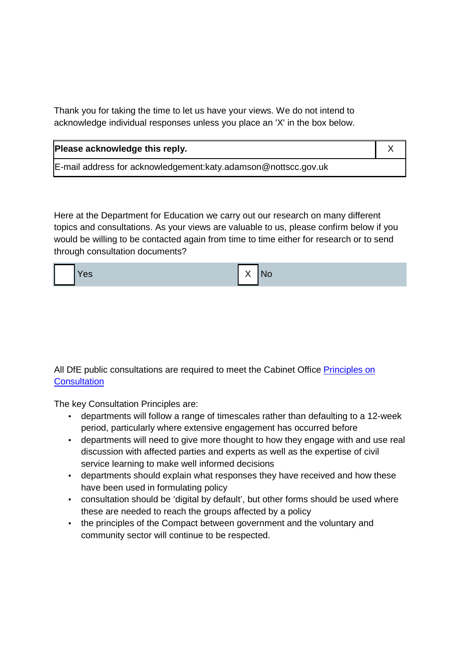Thank you for taking the time to let us have your views. We do not intend to acknowledge individual responses unless you place an 'X' in the box below.

| Please acknowledge this reply.                                   |  |
|------------------------------------------------------------------|--|
| E-mail address for acknowledgement: katy. adamson@nottscc.gov.uk |  |

Here at the Department for Education we carry out our research on many different topics and consultations. As your views are valuable to us, please confirm below if you would be willing to be contacted again from time to time either for research or to send through consultation documents?



All DfE public consultations are required to meet the Cabinet Office Principles on **Consultation** 

The key Consultation Principles are:

- departments will follow a range of timescales rather than defaulting to a 12-week period, particularly where extensive engagement has occurred before
- departments will need to give more thought to how they engage with and use real discussion with affected parties and experts as well as the expertise of civil service learning to make well informed decisions
- departments should explain what responses they have received and how these have been used in formulating policy
- consultation should be 'digital by default', but other forms should be used where these are needed to reach the groups affected by a policy
- the principles of the Compact between government and the voluntary and community sector will continue to be respected.